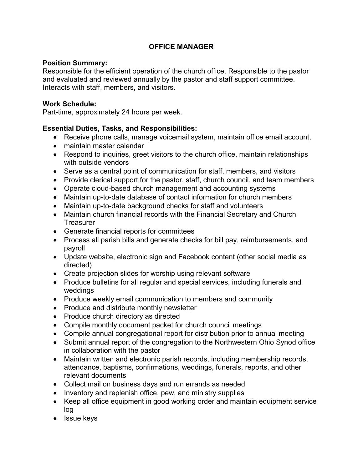# **OFFICE MANAGER**

#### **Position Summary:**

Responsible for the efficient operation of the church office. Responsible to the pastor and evaluated and reviewed annually by the pastor and staff support committee. Interacts with staff, members, and visitors.

#### **Work Schedule:**

Part-time, approximately 24 hours per week.

## **Essential Duties, Tasks, and Responsibilities:**

- Receive phone calls, manage voicemail system, maintain office email account,
- maintain master calendar
- Respond to inquiries, greet visitors to the church office, maintain relationships with outside vendors
- Serve as a central point of communication for staff, members, and visitors
- Provide clerical support for the pastor, staff, church council, and team members
- Operate cloud-based church management and accounting systems
- Maintain up-to-date database of contact information for church members
- Maintain up-to-date background checks for staff and volunteers
- Maintain church financial records with the Financial Secretary and Church **Treasurer**
- Generate financial reports for committees
- Process all parish bills and generate checks for bill pay, reimbursements, and payroll
- Update website, electronic sign and Facebook content (other social media as directed)
- Create projection slides for worship using relevant software
- Produce bulletins for all regular and special services, including funerals and weddings
- Produce weekly email communication to members and community
- Produce and distribute monthly newsletter
- Produce church directory as directed
- Compile monthly document packet for church council meetings
- Compile annual congregational report for distribution prior to annual meeting
- Submit annual report of the congregation to the Northwestern Ohio Synod office in collaboration with the pastor
- Maintain written and electronic parish records, including membership records, attendance, baptisms, confirmations, weddings, funerals, reports, and other relevant documents
- Collect mail on business days and run errands as needed
- Inventory and replenish office, pew, and ministry supplies
- Keep all office equipment in good working order and maintain equipment service log
- Issue keys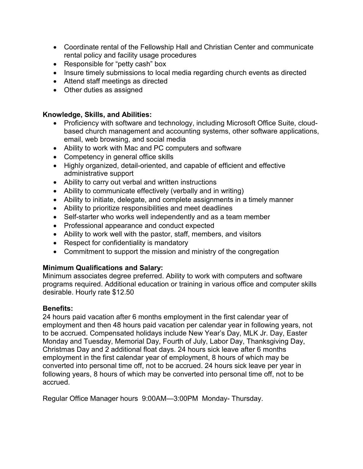- Coordinate rental of the Fellowship Hall and Christian Center and communicate rental policy and facility usage procedures
- Responsible for "petty cash" box
- Insure timely submissions to local media regarding church events as directed
- Attend staff meetings as directed
- Other duties as assigned

## **Knowledge, Skills, and Abilities:**

- Proficiency with software and technology, including Microsoft Office Suite, cloudbased church management and accounting systems, other software applications, email, web browsing, and social media
- Ability to work with Mac and PC computers and software
- Competency in general office skills
- Highly organized, detail-oriented, and capable of efficient and effective administrative support
- Ability to carry out verbal and written instructions
- Ability to communicate effectively (verbally and in writing)
- Ability to initiate, delegate, and complete assignments in a timely manner
- Ability to prioritize responsibilities and meet deadlines
- Self-starter who works well independently and as a team member
- Professional appearance and conduct expected
- Ability to work well with the pastor, staff, members, and visitors
- Respect for confidentiality is mandatory
- Commitment to support the mission and ministry of the congregation

## **Minimum Qualifications and Salary:**

Minimum associates degree preferred. Ability to work with computers and software programs required. Additional education or training in various office and computer skills desirable. Hourly rate \$12.50

#### **Benefits:**

24 hours paid vacation after 6 months employment in the first calendar year of employment and then 48 hours paid vacation per calendar year in following years, not to be accrued. Compensated holidays include New Year's Day, MLK Jr. Day, Easter Monday and Tuesday, Memorial Day, Fourth of July, Labor Day, Thanksgiving Day, Christmas Day and 2 additional float days. 24 hours sick leave after 6 months employment in the first calendar year of employment, 8 hours of which may be converted into personal time off, not to be accrued. 24 hours sick leave per year in following years, 8 hours of which may be converted into personal time off, not to be accrued.

Regular Office Manager hours 9:00AM—3:00PM Monday- Thursday.